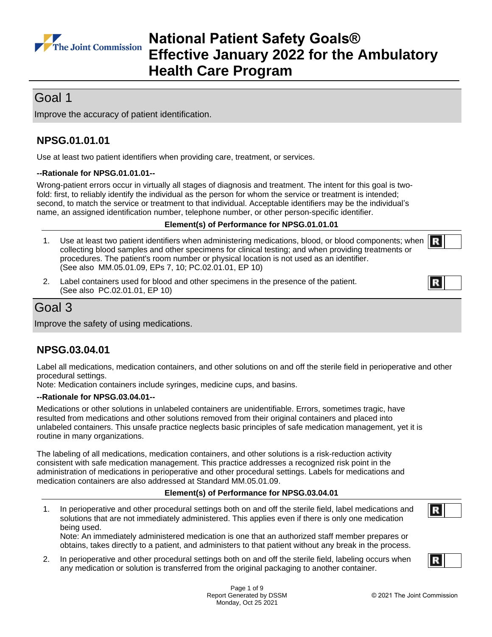

## Goal 1

Improve the accuracy of patient identification.

### **NPSG.01.01.01**

Use at least two patient identifiers when providing care, treatment, or services.

#### **--Rationale for NPSG.01.01.01--**

Wrong-patient errors occur in virtually all stages of diagnosis and treatment. The intent for this goal is twofold: first, to reliably identify the individual as the person for whom the service or treatment is intended; second, to match the service or treatment to that individual. Acceptable identifiers may be the individual's name, an assigned identification number, telephone number, or other person-specific identifier.

#### **Element(s) of Performance for NPSG.01.01.01**

- 1. Use at least two patient identifiers when administering medications, blood, or blood components; when collecting blood samples and other specimens for clinical testing; and when providing treatments or procedures. The patient's room number or physical location is not used as an identifier. (See also MM.05.01.09, EPs 7, 10; PC.02.01.01, EP 10)
- 2. Label containers used for blood and other specimens in the presence of the patient. (See also PC.02.01.01, EP 10)

R

## Goal 3

Improve the safety of using medications.

### **NPSG.03.04.01**

Label all medications, medication containers, and other solutions on and off the sterile field in perioperative and other procedural settings.

Note: Medication containers include syringes, medicine cups, and basins.

#### **--Rationale for NPSG.03.04.01--**

Medications or other solutions in unlabeled containers are unidentifiable. Errors, sometimes tragic, have resulted from medications and other solutions removed from their original containers and placed into unlabeled containers. This unsafe practice neglects basic principles of safe medication management, yet it is routine in many organizations.

The labeling of all medications, medication containers, and other solutions is a risk-reduction activity consistent with safe medication management. This practice addresses a recognized risk point in the administration of medications in perioperative and other procedural settings. Labels for medications and medication containers are also addressed at Standard MM.05.01.09.

#### **Element(s) of Performance for NPSG.03.04.01**

1. In perioperative and other procedural settings both on and off the sterile field, label medications and solutions that are not immediately administered. This applies even if there is only one medication being used.

Note: An immediately administered medication is one that an authorized staff member prepares or obtains, takes directly to a patient, and administers to that patient without any break in the process.

2. In perioperative and other procedural settings both on and off the sterile field, labeling occurs when any medication or solution is transferred from the original packaging to another container.



|--|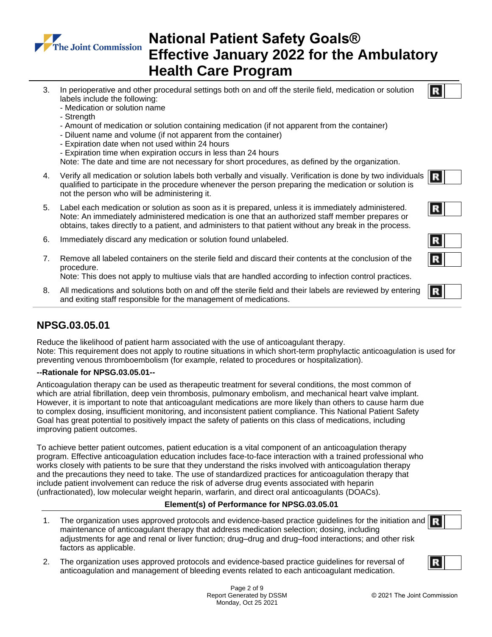

- 3. In perioperative and other procedural settings both on and off the sterile field, medication or solution labels include the following:
	- Medication or solution name
	- Strength
	- Amount of medication or solution containing medication (if not apparent from the container)
	- Diluent name and volume (if not apparent from the container)
	- Expiration date when not used within 24 hours
	- Expiration time when expiration occurs in less than 24 hours

Note: The date and time are not necessary for short procedures, as defined by the organization.

- 4. Verify all medication or solution labels both verbally and visually. Verification is done by two individuals qualified to participate in the procedure whenever the person preparing the medication or solution is not the person who will be administering it.
- 5. Label each medication or solution as soon as it is prepared, unless it is immediately administered. Note: An immediately administered medication is one that an authorized staff member prepares or obtains, takes directly to a patient, and administers to that patient without any break in the process.
- 6. Immediately discard any medication or solution found unlabeled.
- 7. Remove all labeled containers on the sterile field and discard their contents at the conclusion of the procedure.

Note: This does not apply to multiuse vials that are handled according to infection control practices.

8. All medications and solutions both on and off the sterile field and their labels are reviewed by entering and exiting staff responsible for the management of medications.

### **NPSG.03.05.01**

Reduce the likelihood of patient harm associated with the use of anticoagulant therapy. Note: This requirement does not apply to routine situations in which short-term prophylactic anticoagulation is used for preventing venous thromboembolism (for example, related to procedures or hospitalization).

#### **--Rationale for NPSG.03.05.01--**

Anticoagulation therapy can be used as therapeutic treatment for several conditions, the most common of which are atrial fibrillation, deep vein thrombosis, pulmonary embolism, and mechanical heart valve implant. However, it is important to note that anticoagulant medications are more likely than others to cause harm due to complex dosing, insufficient monitoring, and inconsistent patient compliance. This National Patient Safety Goal has great potential to positively impact the safety of patients on this class of medications, including improving patient outcomes.

To achieve better patient outcomes, patient education is a vital component of an anticoagulation therapy program. Effective anticoagulation education includes face-to-face interaction with a trained professional who works closely with patients to be sure that they understand the risks involved with anticoagulation therapy and the precautions they need to take. The use of standardized practices for anticoagulation therapy that include patient involvement can reduce the risk of adverse drug events associated with heparin (unfractionated), low molecular weight heparin, warfarin, and direct oral anticoagulants (DOACs).

#### **Element(s) of Performance for NPSG.03.05.01**

- 1. The organization uses approved protocols and evidence-based practice guidelines for the initiation and  $\|\cdot\|$ maintenance of anticoagulant therapy that address medication selection; dosing, including adjustments for age and renal or liver function; drug–drug and drug–food interactions; and other risk factors as applicable.
- 2. The organization uses approved protocols and evidence-based practice guidelines for reversal of anticoagulation and management of bleeding events related to each anticoagulant medication.







Е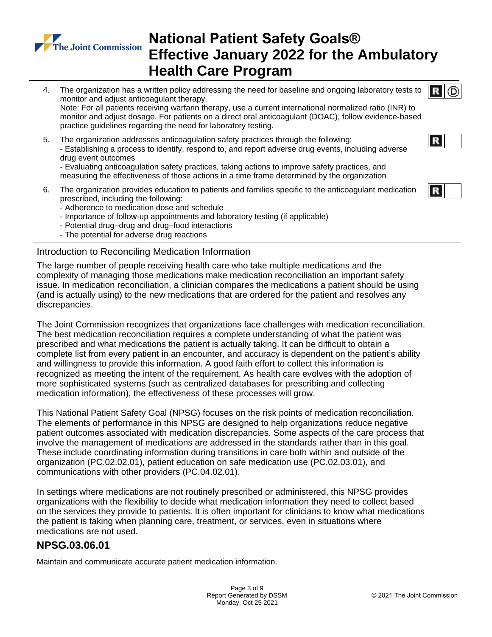

- 4. The organization has a written policy addressing the need for baseline and ongoing laboratory tests to monitor and adjust anticoagulant therapy. Note: For all patients receiving warfarin therapy, use a current international normalized ratio (INR) to monitor and adjust dosage. For patients on a direct oral anticoagulant (DOAC), follow evidence-based practice guidelines regarding the need for laboratory testing. 5. The organization addresses anticoagulation safety practices through the following: - Establishing a process to identify, respond to, and report adverse drug events, including adverse drug event outcomes - Evaluating anticoagulation safety practices, taking actions to improve safety practices, and measuring the effectiveness of those actions in a time frame determined by the organization
- 6. The organization provides education to patients and families specific to the anticoagulant medication prescribed, including the following:
	- Adherence to medication dose and schedule
	- Importance of follow-up appointments and laboratory testing (if applicable)
	- Potential drug–drug and drug–food interactions
	- The potential for adverse drug reactions

#### Introduction to Reconciling Medication Information

The large number of people receiving health care who take multiple medications and the complexity of managing those medications make medication reconciliation an important safety issue. In medication reconciliation, a clinician compares the medications a patient should be using (and is actually using) to the new medications that are ordered for the patient and resolves any discrepancies.

The Joint Commission recognizes that organizations face challenges with medication reconciliation. The best medication reconciliation requires a complete understanding of what the patient was prescribed and what medications the patient is actually taking. It can be difficult to obtain a complete list from every patient in an encounter, and accuracy is dependent on the patient's ability and willingness to provide this information. A good faith effort to collect this information is recognized as meeting the intent of the requirement. As health care evolves with the adoption of more sophisticated systems (such as centralized databases for prescribing and collecting medication information), the effectiveness of these processes will grow.

This National Patient Safety Goal (NPSG) focuses on the risk points of medication reconciliation. The elements of performance in this NPSG are designed to help organizations reduce negative patient outcomes associated with medication discrepancies. Some aspects of the care process that involve the management of medications are addressed in the standards rather than in this goal. These include coordinating information during transitions in care both within and outside of the organization (PC.02.02.01), patient education on safe medication use (PC.02.03.01), and communications with other providers (PC.04.02.01).

In settings where medications are not routinely prescribed or administered, this NPSG provides organizations with the flexibility to decide what medication information they need to collect based on the services they provide to patients. It is often important for clinicians to know what medications the patient is taking when planning care, treatment, or services, even in situations where medications are not used.

### **NPSG.03.06.01**

Maintain and communicate accurate patient medication information.





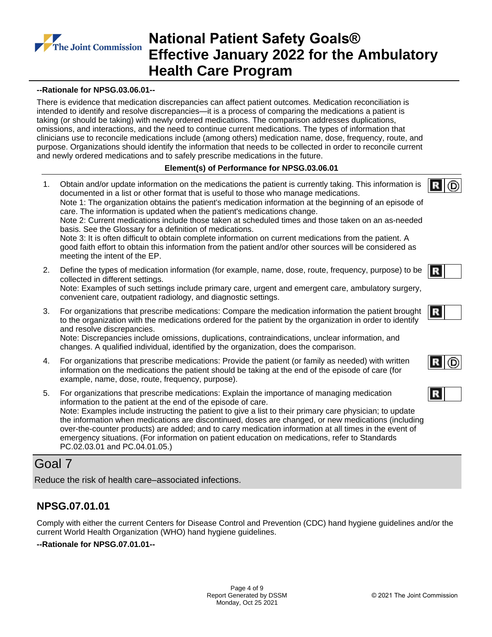

#### **--Rationale for NPSG.03.06.01--**

There is evidence that medication discrepancies can affect patient outcomes. Medication reconciliation is intended to identify and resolve discrepancies—it is a process of comparing the medications a patient is taking (or should be taking) with newly ordered medications. The comparison addresses duplications, omissions, and interactions, and the need to continue current medications. The types of information that clinicians use to reconcile medications include (among others) medication name, dose, frequency, route, and purpose. Organizations should identify the information that needs to be collected in order to reconcile current and newly ordered medications and to safely prescribe medications in the future.

#### **Element(s) of Performance for NPSG.03.06.01**

- 1. Obtain and/or update information on the medications the patient is currently taking. This information is  $\mathbf E$   $\mathbf G$ documented in a list or other format that is useful to those who manage medications. Note 1: The organization obtains the patient's medication information at the beginning of an episode of care. The information is updated when the patient's medications change. Note 2: Current medications include those taken at scheduled times and those taken on an as-needed basis. See the Glossary for a definition of medications. Note 3: It is often difficult to obtain complete information on current medications from the patient. A good faith effort to obtain this information from the patient and/or other sources will be considered as meeting the intent of the EP. 2. Define the types of medication information (for example, name, dose, route, frequency, purpose) to be R collected in different settings. Note: Examples of such settings include primary care, urgent and emergent care, ambulatory surgery, convenient care, outpatient radiology, and diagnostic settings. 3. For organizations that prescribe medications: Compare the medication information the patient brought R to the organization with the medications ordered for the patient by the organization in order to identify and resolve discrepancies. Note: Discrepancies include omissions, duplications, contraindications, unclear information, and changes. A qualified individual, identified by the organization, does the comparison.
- 4. For organizations that prescribe medications: Provide the patient (or family as needed) with written information on the medications the patient should be taking at the end of the episode of care (for example, name, dose, route, frequency, purpose).
- 5. For organizations that prescribe medications: Explain the importance of managing medication information to the patient at the end of the episode of care. Note: Examples include instructing the patient to give a list to their primary care physician; to update the information when medications are discontinued, doses are changed, or new medications (including over-the-counter products) are added; and to carry medication information at all times in the event of emergency situations. (For information on patient education on medications, refer to Standards PC.02.03.01 and PC.04.01.05.)

### Goal 7

Reduce the risk of health care–associated infections.

### **NPSG.07.01.01**

Comply with either the current Centers for Disease Control and Prevention (CDC) hand hygiene guidelines and/or the current World Health Organization (WHO) hand hygiene guidelines.

#### **--Rationale for NPSG.07.01.01--**





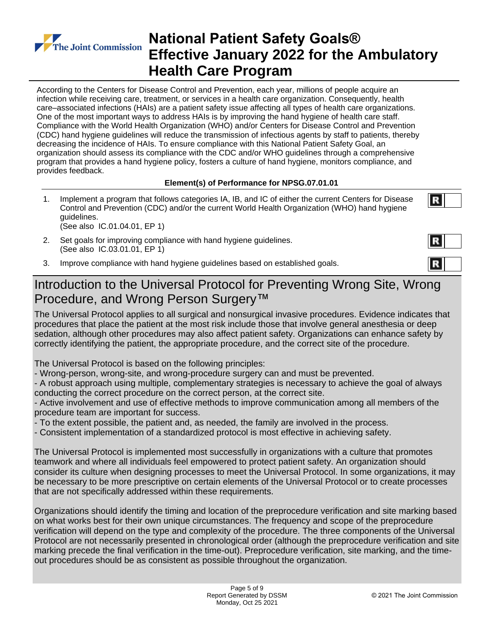

According to the Centers for Disease Control and Prevention, each year, millions of people acquire an infection while receiving care, treatment, or services in a health care organization. Consequently, health care–associated infections (HAIs) are a patient safety issue affecting all types of health care organizations. One of the most important ways to address HAIs is by improving the hand hygiene of health care staff. Compliance with the World Health Organization (WHO) and/or Centers for Disease Control and Prevention (CDC) hand hygiene guidelines will reduce the transmission of infectious agents by staff to patients, thereby decreasing the incidence of HAIs. To ensure compliance with this National Patient Safety Goal, an organization should assess its compliance with the CDC and/or WHO guidelines through a comprehensive program that provides a hand hygiene policy, fosters a culture of hand hygiene, monitors compliance, and provides feedback.

#### **Element(s) of Performance for NPSG.07.01.01**

- 1. Implement a program that follows categories IA, IB, and IC of either the current Centers for Disease Control and Prevention (CDC) and/or the current World Health Organization (WHO) hand hygiene guidelines. (See also IC.01.04.01, EP 1)
- 2. Set goals for improving compliance with hand hygiene guidelines. (See also IC.03.01.01, EP 1)
- 3. Improve compliance with hand hygiene guidelines based on established goals.

## Introduction to the Universal Protocol for Preventing Wrong Site, Wrong Procedure, and Wrong Person Surgery™

The Universal Protocol applies to all surgical and nonsurgical invasive procedures. Evidence indicates that procedures that place the patient at the most risk include those that involve general anesthesia or deep sedation, although other procedures may also affect patient safety. Organizations can enhance safety by correctly identifying the patient, the appropriate procedure, and the correct site of the procedure.

The Universal Protocol is based on the following principles:

- Wrong-person, wrong-site, and wrong-procedure surgery can and must be prevented.

- A robust approach using multiple, complementary strategies is necessary to achieve the goal of always conducting the correct procedure on the correct person, at the correct site.

- Active involvement and use of effective methods to improve communication among all members of the procedure team are important for success.

- To the extent possible, the patient and, as needed, the family are involved in the process.

- Consistent implementation of a standardized protocol is most effective in achieving safety.

The Universal Protocol is implemented most successfully in organizations with a culture that promotes teamwork and where all individuals feel empowered to protect patient safety. An organization should consider its culture when designing processes to meet the Universal Protocol. In some organizations, it may be necessary to be more prescriptive on certain elements of the Universal Protocol or to create processes that are not specifically addressed within these requirements.

Organizations should identify the timing and location of the preprocedure verification and site marking based on what works best for their own unique circumstances. The frequency and scope of the preprocedure verification will depend on the type and complexity of the procedure. The three components of the Universal Protocol are not necessarily presented in chronological order (although the preprocedure verification and site marking precede the final verification in the time-out). Preprocedure verification, site marking, and the timeout procedures should be as consistent as possible throughout the organization.

IR.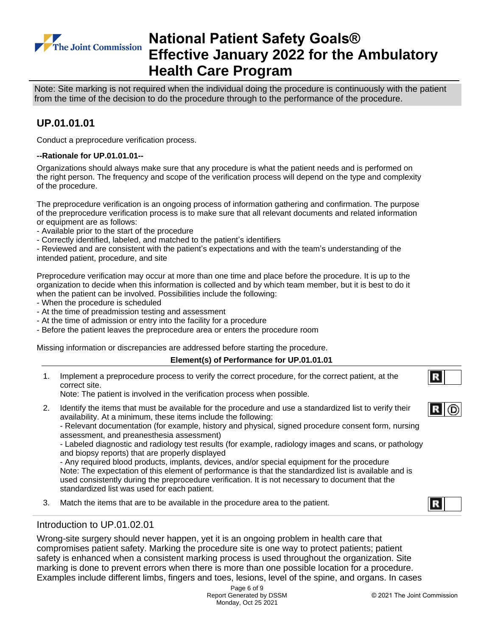

Note: Site marking is not required when the individual doing the procedure is continuously with the patient from the time of the decision to do the procedure through to the performance of the procedure.

### **UP.01.01.01**

Conduct a preprocedure verification process.

#### **--Rationale for UP.01.01.01--**

Organizations should always make sure that any procedure is what the patient needs and is performed on the right person. The frequency and scope of the verification process will depend on the type and complexity of the procedure.

The preprocedure verification is an ongoing process of information gathering and confirmation. The purpose of the preprocedure verification process is to make sure that all relevant documents and related information or equipment are as follows:

- Available prior to the start of the procedure

- Correctly identified, labeled, and matched to the patient's identifiers

- Reviewed and are consistent with the patient's expectations and with the team's understanding of the intended patient, procedure, and site

Preprocedure verification may occur at more than one time and place before the procedure. It is up to the organization to decide when this information is collected and by which team member, but it is best to do it when the patient can be involved. Possibilities include the following:

- When the procedure is scheduled

- At the time of preadmission testing and assessment
- At the time of admission or entry into the facility for a procedure
- Before the patient leaves the preprocedure area or enters the procedure room

Missing information or discrepancies are addressed before starting the procedure.

#### **Element(s) of Performance for UP.01.01.01**

1. Implement a preprocedure process to verify the correct procedure, for the correct patient, at the correct site.

Note: The patient is involved in the verification process when possible.

2. Identify the items that must be available for the procedure and use a standardized list to verify their availability. At a minimum, these items include the following:

R

- Relevant documentation (for example, history and physical, signed procedure consent form, nursing assessment, and preanesthesia assessment)

- Labeled diagnostic and radiology test results (for example, radiology images and scans, or pathology and biopsy reports) that are properly displayed

- Any required blood products, implants, devices, and/or special equipment for the procedure Note: The expectation of this element of performance is that the standardized list is available and is used consistently during the preprocedure verification. It is not necessary to document that the standardized list was used for each patient.

3. Match the items that are to be available in the procedure area to the patient.

# R

### Introduction to UP.01.02.01

Wrong-site surgery should never happen, yet it is an ongoing problem in health care that compromises patient safety. Marking the procedure site is one way to protect patients; patient safety is enhanced when a consistent marking process is used throughout the organization. Site marking is done to prevent errors when there is more than one possible location for a procedure. Examples include different limbs, fingers and toes, lesions, level of the spine, and organs. In cases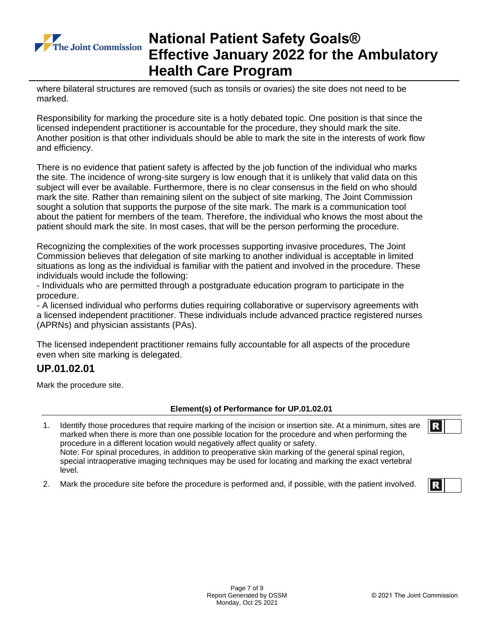

where bilateral structures are removed (such as tonsils or ovaries) the site does not need to be marked.

Responsibility for marking the procedure site is a hotly debated topic. One position is that since the licensed independent practitioner is accountable for the procedure, they should mark the site. Another position is that other individuals should be able to mark the site in the interests of work flow and efficiency.

There is no evidence that patient safety is affected by the job function of the individual who marks the site. The incidence of wrong-site surgery is low enough that it is unlikely that valid data on this subject will ever be available. Furthermore, there is no clear consensus in the field on who should mark the site. Rather than remaining silent on the subject of site marking, The Joint Commission sought a solution that supports the purpose of the site mark. The mark is a communication tool about the patient for members of the team. Therefore, the individual who knows the most about the patient should mark the site. In most cases, that will be the person performing the procedure.

Recognizing the complexities of the work processes supporting invasive procedures, The Joint Commission believes that delegation of site marking to another individual is acceptable in limited situations as long as the individual is familiar with the patient and involved in the procedure. These individuals would include the following:

- Individuals who are permitted through a postgraduate education program to participate in the procedure.

- A licensed individual who performs duties requiring collaborative or supervisory agreements with a licensed independent practitioner. These individuals include advanced practice registered nurses (APRNs) and physician assistants (PAs).

The licensed independent practitioner remains fully accountable for all aspects of the procedure even when site marking is delegated.

### **UP.01.02.01**

Mark the procedure site.

#### **Element(s) of Performance for UP.01.02.01**

- 1. Identify those procedures that require marking of the incision or insertion site. At a minimum, sites are marked when there is more than one possible location for the procedure and when performing the procedure in a different location would negatively affect quality or safety. Note: For spinal procedures, in addition to preoperative skin marking of the general spinal region, special intraoperative imaging techniques may be used for locating and marking the exact vertebral level.
- 2. Mark the procedure site before the procedure is performed and, if possible, with the patient involved.



R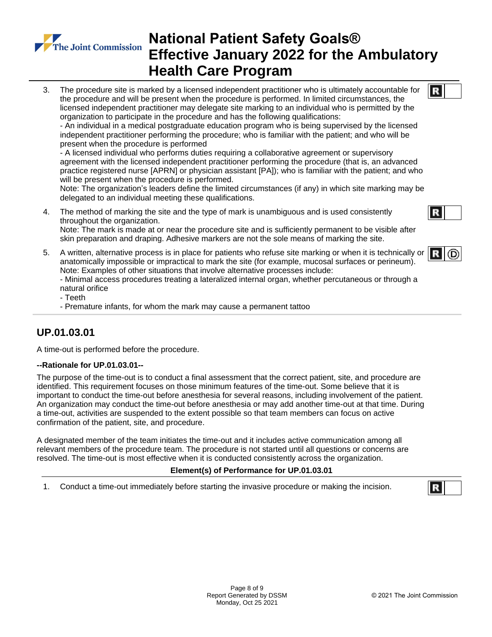

3. The procedure site is marked by a licensed independent practitioner who is ultimately accountable for the procedure and will be present when the procedure is performed. In limited circumstances, the licensed independent practitioner may delegate site marking to an individual who is permitted by the organization to participate in the procedure and has the following qualifications:

- An individual in a medical postgraduate education program who is being supervised by the licensed independent practitioner performing the procedure; who is familiar with the patient; and who will be present when the procedure is performed

- A licensed individual who performs duties requiring a collaborative agreement or supervisory agreement with the licensed independent practitioner performing the procedure (that is, an advanced practice registered nurse [APRN] or physician assistant [PA]); who is familiar with the patient; and who will be present when the procedure is performed.

Note: The organization's leaders define the limited circumstances (if any) in which site marking may be delegated to an individual meeting these qualifications.

4. The method of marking the site and the type of mark is unambiguous and is used consistently throughout the organization.

Note: The mark is made at or near the procedure site and is sufficiently permanent to be visible after skin preparation and draping. Adhesive markers are not the sole means of marking the site.

5. A written, alternative process is in place for patients who refuse site marking or when it is technically or  $\|\cdot\|$ anatomically impossible or impractical to mark the site (for example, mucosal surfaces or perineum). Note: Examples of other situations that involve alternative processes include:

- Minimal access procedures treating a lateralized internal organ, whether percutaneous or through a natural orifice

- Teeth

- Premature infants, for whom the mark may cause a permanent tattoo

### **UP.01.03.01**

A time-out is performed before the procedure.

#### **--Rationale for UP.01.03.01--**

The purpose of the time-out is to conduct a final assessment that the correct patient, site, and procedure are identified. This requirement focuses on those minimum features of the time-out. Some believe that it is important to conduct the time-out before anesthesia for several reasons, including involvement of the patient. An organization may conduct the time-out before anesthesia or may add another time-out at that time. During a time-out, activities are suspended to the extent possible so that team members can focus on active confirmation of the patient, site, and procedure.

A designated member of the team initiates the time-out and it includes active communication among all relevant members of the procedure team. The procedure is not started until all questions or concerns are resolved. The time-out is most effective when it is conducted consistently across the organization.

#### **Element(s) of Performance for UP.01.03.01**

1. Conduct a time-out immediately before starting the invasive procedure or making the incision.

R